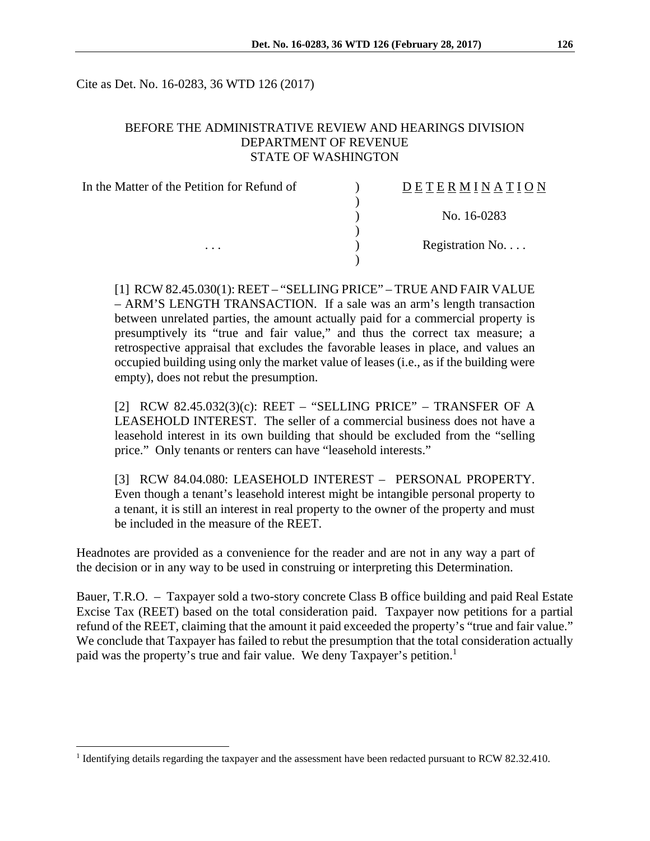Cite as Det. No. 16-0283, 36 WTD 126 (2017)

#### BEFORE THE ADMINISTRATIVE REVIEW AND HEARINGS DIVISION DEPARTMENT OF REVENUE STATE OF WASHINGTON

| In the Matter of the Petition for Refund of | DETERMINATION    |
|---------------------------------------------|------------------|
|                                             |                  |
|                                             | No. 16-0283      |
|                                             |                  |
| $\cdots$                                    | Registration No. |
|                                             |                  |

[1] RCW 82.45.030(1): REET – "SELLING PRICE" – TRUE AND FAIR VALUE – ARM'S LENGTH TRANSACTION. If a sale was an arm's length transaction between unrelated parties, the amount actually paid for a commercial property is presumptively its "true and fair value," and thus the correct tax measure; a retrospective appraisal that excludes the favorable leases in place, and values an occupied building using only the market value of leases (i.e., as if the building were empty), does not rebut the presumption.

[2] RCW 82.45.032(3)(c): REET – "SELLING PRICE" – TRANSFER OF A LEASEHOLD INTEREST. The seller of a commercial business does not have a leasehold interest in its own building that should be excluded from the "selling price." Only tenants or renters can have "leasehold interests."

[3] RCW 84.04.080: LEASEHOLD INTEREST – PERSONAL PROPERTY. Even though a tenant's leasehold interest might be intangible personal property to a tenant, it is still an interest in real property to the owner of the property and must be included in the measure of the REET.

Headnotes are provided as a convenience for the reader and are not in any way a part of the decision or in any way to be used in construing or interpreting this Determination.

Bauer, T.R.O. – Taxpayer sold a two-story concrete Class B office building and paid Real Estate Excise Tax (REET) based on the total consideration paid. Taxpayer now petitions for a partial refund of the REET, claiming that the amount it paid exceeded the property's "true and fair value." We conclude that Taxpayer has failed to rebut the presumption that the total consideration actually paid was the property's true and fair value. We deny Taxpayer's petition.<sup>1</sup>

<sup>&</sup>lt;sup>1</sup> Identifying details regarding the taxpayer and the assessment have been redacted pursuant to RCW 82.32.410.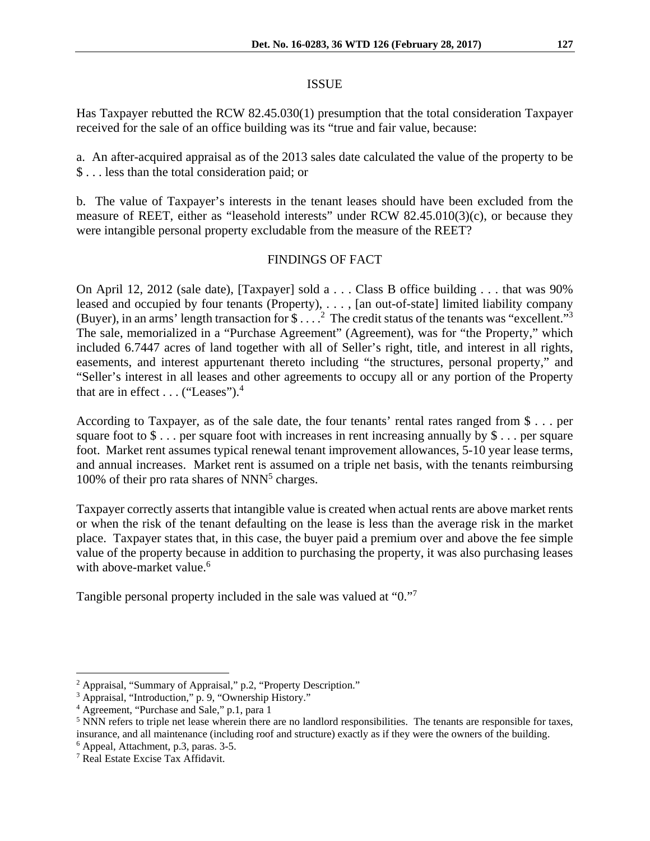#### ISSUE

Has Taxpayer rebutted the RCW 82.45.030(1) presumption that the total consideration Taxpayer received for the sale of an office building was its "true and fair value, because:

a. An after-acquired appraisal as of the 2013 sales date calculated the value of the property to be \$ . . . less than the total consideration paid; or

b. The value of Taxpayer's interests in the tenant leases should have been excluded from the measure of REET, either as "leasehold interests" under RCW 82.45.010(3)(c), or because they were intangible personal property excludable from the measure of the REET?

## FINDINGS OF FACT

On April 12, 2012 (sale date), [Taxpayer] sold a . . . Class B office building . . . that was 90% leased and occupied by four tenants (Property), . . . , [an out-of-state] limited liability company (Buyer), in an arms' length transaction for  $\$\dots$ ? The credit status of the tenants was "excellent."<sup>3</sup> The sale, memorialized in a "Purchase Agreement" (Agreement), was for "the Property," which included 6.7447 acres of land together with all of Seller's right, title, and interest in all rights, easements, and interest appurtenant thereto including "the structures, personal property," and "Seller's interest in all leases and other agreements to occupy all or any portion of the Property that are in effect  $\dots$  ("Leases").<sup>4</sup>

According to Taxpayer, as of the sale date, the four tenants' rental rates ranged from \$ . . . per square foot to  $\$\dots$  per square foot with increases in rent increasing annually by  $\$\dots$  per square foot. Market rent assumes typical renewal tenant improvement allowances, 5-10 year lease terms, and annual increases. Market rent is assumed on a triple net basis, with the tenants reimbursing 100% of their pro rata shares of NNN<sup>5</sup> charges.

Taxpayer correctly asserts that intangible value is created when actual rents are above market rents or when the risk of the tenant defaulting on the lease is less than the average risk in the market place. Taxpayer states that, in this case, the buyer paid a premium over and above the fee simple value of the property because in addition to purchasing the property, it was also purchasing leases with above-market value.<sup>6</sup>

Tangible personal property included in the sale was valued at "0."<sup>7</sup>

<sup>&</sup>lt;sup>2</sup> Appraisal, "Summary of Appraisal," p.2, "Property Description."

<sup>3</sup> Appraisal, "Introduction," p. 9, "Ownership History."

<sup>4</sup> Agreement, "Purchase and Sale," p.1, para 1

 $<sup>5</sup>$  NNN refers to triple net lease wherein there are no landlord responsibilities. The tenants are responsible for taxes,</sup> insurance, and all maintenance (including roof and structure) exactly as if they were the owners of the building. 6

Appeal, Attachment, p.3, paras. 3-5.

<sup>7</sup> Real Estate Excise Tax Affidavit.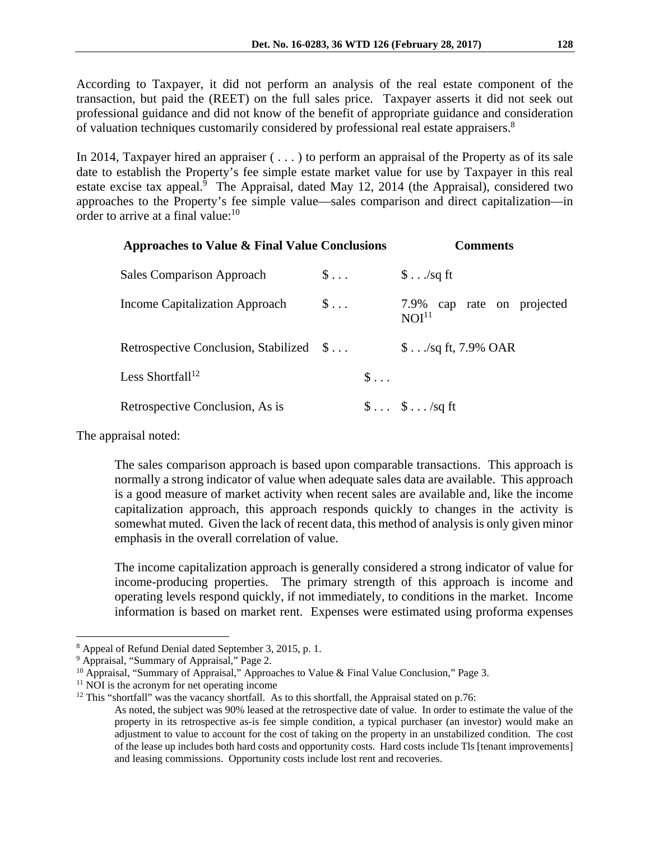According to Taxpayer, it did not perform an analysis of the real estate component of the transaction, but paid the (REET) on the full sales price. Taxpayer asserts it did not seek out professional guidance and did not know of the benefit of appropriate guidance and consideration of valuation techniques customarily considered by professional real estate appraisers.<sup>8</sup>

In 2014, Taxpayer hired an appraiser ( . . . ) to perform an appraisal of the Property as of its sale date to establish the Property's fee simple estate market value for use by Taxpayer in this real estate excise tax appeal.<sup>9</sup> The Appraisal, dated May 12, 2014 (the Appraisal), considered two approaches to the Property's fee simple value—sales comparison and direct capitalization—in order to arrive at a final value: $10$ 

| Approaches to Value & Final Value Conclusions |                    |              | <b>Comments</b>                                 |
|-----------------------------------------------|--------------------|--------------|-------------------------------------------------|
| Sales Comparison Approach                     | $\mathsf{S} \dots$ |              | $\frac{1}{2}$ /sq ft                            |
| Income Capitalization Approach                | $\mathsf{S} \dots$ |              | 7.9% cap rate on projected<br>NOI <sup>11</sup> |
| Retrospective Conclusion, Stabilized \$       |                    |              | $$$ /sq ft, 7.9% OAR                            |
| Less Shortfall <sup>12</sup>                  |                    | $\mathsf{S}$ |                                                 |
| Retrospective Conclusion, As is               |                    |              | $\$\ldots\$\ldots$ /sq ft                       |

The appraisal noted:

 $\overline{a}$ 

The sales comparison approach is based upon comparable transactions. This approach is normally a strong indicator of value when adequate sales data are available. This approach is a good measure of market activity when recent sales are available and, like the income capitalization approach, this approach responds quickly to changes in the activity is somewhat muted. Given the lack of recent data, this method of analysis is only given minor emphasis in the overall correlation of value.

The income capitalization approach is generally considered a strong indicator of value for income-producing properties. The primary strength of this approach is income and operating levels respond quickly, if not immediately, to conditions in the market. Income information is based on market rent. Expenses were estimated using proforma expenses

<sup>8</sup> Appeal of Refund Denial dated September 3, 2015, p. 1.

<sup>&</sup>lt;sup>9</sup> Appraisal, "Summary of Appraisal," Page 2.

<sup>&</sup>lt;sup>10</sup> Appraisal, "Summary of Appraisal," Approaches to Value & Final Value Conclusion," Page 3.<br><sup>11</sup> NOI is the acronym for net operating income

 $12$  This "shortfall" was the vacancy shortfall. As to this shortfall, the Appraisal stated on p.76:

As noted, the subject was 90% leased at the retrospective date of value. In order to estimate the value of the property in its retrospective as-is fee simple condition, a typical purchaser (an investor) would make an adjustment to value to account for the cost of taking on the property in an unstabilized condition. The cost of the lease up includes both hard costs and opportunity costs. Hard costs include Tls [tenant improvements] and leasing commissions. Opportunity costs include lost rent and recoveries.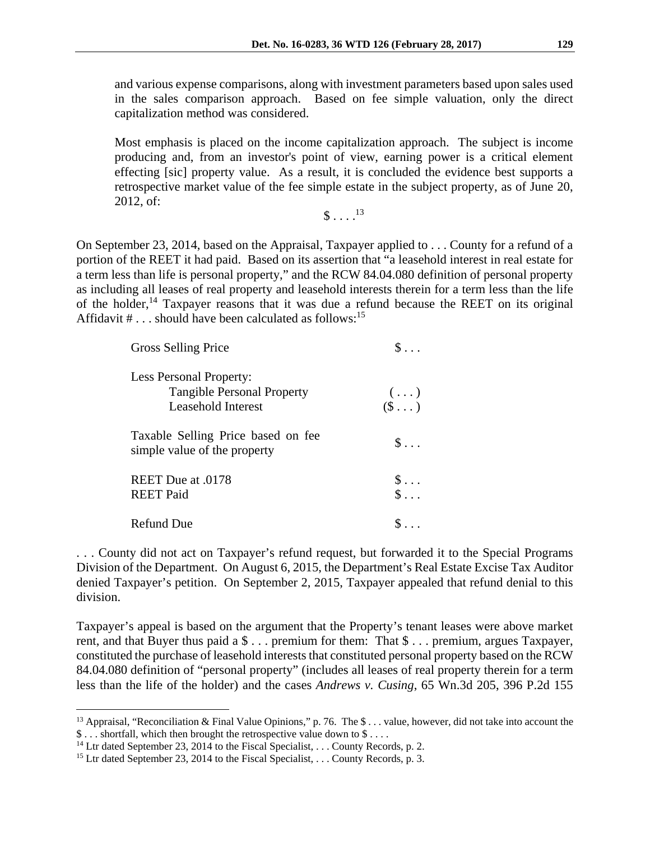and various expense comparisons, along with investment parameters based upon sales used in the sales comparison approach. Based on fee simple valuation, only the direct capitalization method was considered.

Most emphasis is placed on the income capitalization approach. The subject is income producing and, from an investor's point of view, earning power is a critical element effecting [sic] property value. As a result, it is concluded the evidence best supports a retrospective market value of the fee simple estate in the subject property, as of June 20, 2012, of:

 $$ 13$ 

On September 23, 2014, based on the Appraisal, Taxpayer applied to . . . County for a refund of a portion of the REET it had paid. Based on its assertion that "a leasehold interest in real estate for a term less than life is personal property," and the RCW 84.04.080 definition of personal property as including all leases of real property and leasehold interests therein for a term less than the life of the holder,<sup>14</sup> Taxpayer reasons that it was due a refund because the REET on its original Affidavit # . . . should have been calculated as follows:<sup>15</sup>

| Gross Selling Price                                                                              | $\mathbb{S}$                                           |
|--------------------------------------------------------------------------------------------------|--------------------------------------------------------|
| <b>Less Personal Property:</b><br><b>Tangible Personal Property</b><br><b>Leasehold Interest</b> | $\begin{array}{c} (\ldots) \\ (\$ \ldots) \end{array}$ |
| Taxable Selling Price based on fee<br>simple value of the property                               | $\mathbb{S}$                                           |
| REET Due at .0178<br><b>REET Paid</b>                                                            | $\begin{array}{c} \S \ldots \\ \S \ldots \end{array}$  |
| Refund Due                                                                                       |                                                        |

. . . County did not act on Taxpayer's refund request, but forwarded it to the Special Programs Division of the Department. On August 6, 2015, the Department's Real Estate Excise Tax Auditor denied Taxpayer's petition. On September 2, 2015, Taxpayer appealed that refund denial to this division.

Taxpayer's appeal is based on the argument that the Property's tenant leases were above market rent, and that Buyer thus paid a \$ . . . premium for them: That \$ . . . premium, argues Taxpayer, constituted the purchase of leasehold interests that constituted personal property based on the RCW 84.04.080 definition of "personal property" (includes all leases of real property therein for a term less than the life of the holder) and the cases *Andrews v. Cusing*, 65 Wn.3d 205, 396 P.2d 155

<sup>&</sup>lt;sup>13</sup> Appraisal, "Reconciliation & Final Value Opinions," p. 76. The \$ ... value, however, did not take into account the  $$...$  shortfall, which then brought the retrospective value down to \$ ...

<sup>&</sup>lt;sup>14</sup> Ltr dated September 23, 2014 to the Fiscal Specialist, . . . County Records, p. 2.<br><sup>15</sup> Ltr dated September 23, 2014 to the Fiscal Specialist, . . . County Records, p. 3.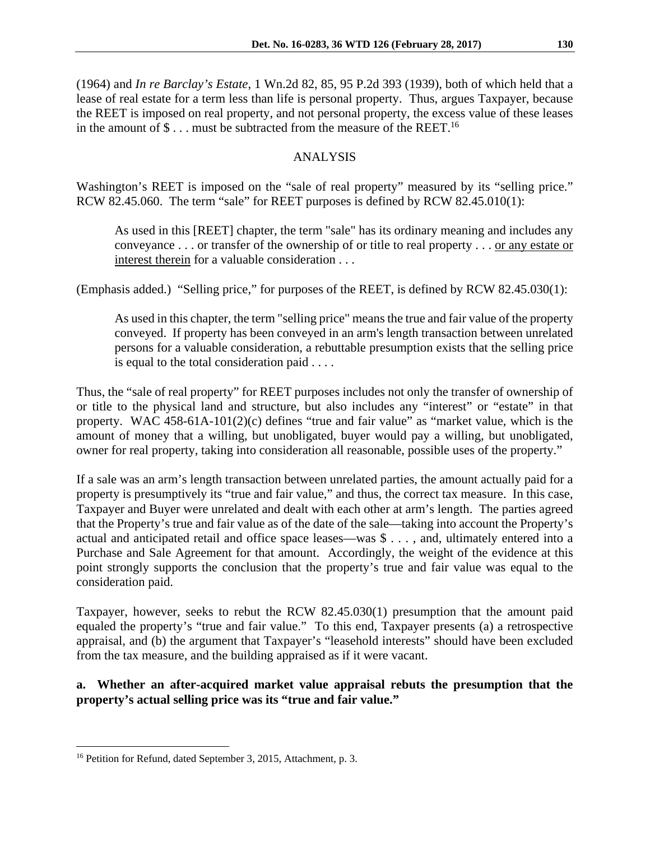(1964) and *In re Barclay's Estate*, 1 Wn.2d 82, 85, 95 P.2d 393 (1939), both of which held that a lease of real estate for a term less than life is personal property. Thus, argues Taxpayer, because the REET is imposed on real property, and not personal property, the excess value of these leases in the amount of  $\$\dots$  must be subtracted from the measure of the REET.<sup>16</sup>

## ANALYSIS

Washington's REET is imposed on the "sale of real property" measured by its "selling price." RCW 82.45.060. The term "sale" for REET purposes is defined by RCW 82.45.010(1):

As used in this [REET] chapter, the term "sale" has its ordinary meaning and includes any conveyance . . . or transfer of the ownership of or title to real property . . . or any estate or interest therein for a valuable consideration . . .

(Emphasis added.) "Selling price," for purposes of the REET, is defined by RCW 82.45.030(1):

As used in this chapter, the term "selling price" means the true and fair value of the property conveyed. If property has been conveyed in an arm's length transaction between unrelated persons for a valuable consideration, a rebuttable presumption exists that the selling price is equal to the total consideration paid . . . .

Thus, the "sale of real property" for REET purposes includes not only the transfer of ownership of or title to the physical land and structure, but also includes any "interest" or "estate" in that property. WAC  $\overline{458\text{-}61A\text{-}101(2)}$ (c) defines "true and fair value" as "market value, which is the amount of money that a willing, but unobligated, buyer would pay a willing, but unobligated, owner for real property, taking into consideration all reasonable, possible uses of the property."

If a sale was an arm's length transaction between unrelated parties, the amount actually paid for a property is presumptively its "true and fair value," and thus, the correct tax measure. In this case, Taxpayer and Buyer were unrelated and dealt with each other at arm's length. The parties agreed that the Property's true and fair value as of the date of the sale—taking into account the Property's actual and anticipated retail and office space leases—was \$ . . . , and, ultimately entered into a Purchase and Sale Agreement for that amount. Accordingly, the weight of the evidence at this point strongly supports the conclusion that the property's true and fair value was equal to the consideration paid.

Taxpayer, however, seeks to rebut the RCW 82.45.030(1) presumption that the amount paid equaled the property's "true and fair value." To this end, Taxpayer presents (a) a retrospective appraisal, and (b) the argument that Taxpayer's "leasehold interests" should have been excluded from the tax measure, and the building appraised as if it were vacant.

## **a. Whether an after-acquired market value appraisal rebuts the presumption that the property's actual selling price was its "true and fair value."**

<sup>&</sup>lt;sup>16</sup> Petition for Refund, dated September 3, 2015, Attachment, p. 3.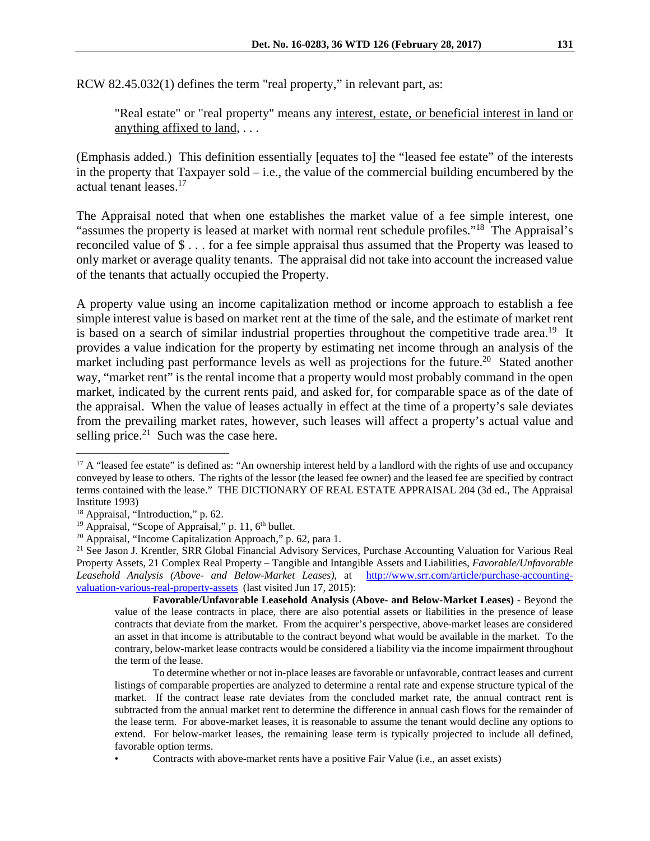RCW 82.45.032(1) defines the term "real property," in relevant part, as:

"Real estate" or "real property" means any interest, estate, or beneficial interest in land or anything affixed to land, . . .

(Emphasis added.) This definition essentially [equates to] the "leased fee estate" of the interests in the property that Taxpayer sold – i.e., the value of the commercial building encumbered by the actual tenant leases.17

The Appraisal noted that when one establishes the market value of a fee simple interest, one "assumes the property is leased at market with normal rent schedule profiles."18 The Appraisal's reconciled value of \$ . . . for a fee simple appraisal thus assumed that the Property was leased to only market or average quality tenants. The appraisal did not take into account the increased value of the tenants that actually occupied the Property.

A property value using an income capitalization method or income approach to establish a fee simple interest value is based on market rent at the time of the sale, and the estimate of market rent is based on a search of similar industrial properties throughout the competitive trade area.<sup>19</sup> It provides a value indication for the property by estimating net income through an analysis of the market including past performance levels as well as projections for the future.<sup>20</sup> Stated another way, "market rent" is the rental income that a property would most probably command in the open market, indicated by the current rents paid, and asked for, for comparable space as of the date of the appraisal. When the value of leases actually in effect at the time of a property's sale deviates from the prevailing market rates, however, such leases will affect a property's actual value and selling price. $21$  Such was the case here.

 $17$  A "leased fee estate" is defined as: "An ownership interest held by a landlord with the rights of use and occupancy conveyed by lease to others. The rights of the lessor (the leased fee owner) and the leased fee are specified by contract terms contained with the lease." THE DICTIONARY OF REAL ESTATE APPRAISAL 204 (3d ed., The Appraisal Institute 1993)

<sup>&</sup>lt;sup>18</sup> Appraisal, "Introduction," p. 62.<br><sup>19</sup> Appraisal, "Scope of Appraisal," p. 11,  $6<sup>th</sup>$  bullet.

<sup>&</sup>lt;sup>20</sup> Appraisal, "Income Capitalization Approach," p. 62, para 1.

<sup>&</sup>lt;sup>21</sup> See Jason J. Krentler, SRR Global Financial Advisory Services, Purchase Accounting Valuation for Various Real Property Assets, 21 Complex Real Property – Tangible and Intangible Assets and Liabilities, *Favorable/Unfavorable Leasehold Analysis (Above- and Below-Market Leases)*, at http://www.srr.com/article/purchase-accountingvaluation-various-real-property-assets (last visited Jun 17, 2015):

**Favorable/Unfavorable Leasehold Analysis (Above- and Below-Market Leases)** - Beyond the value of the lease contracts in place, there are also potential assets or liabilities in the presence of lease contracts that deviate from the market. From the acquirer's perspective, above-market leases are considered an asset in that income is attributable to the contract beyond what would be available in the market. To the contrary, below-market lease contracts would be considered a liability via the income impairment throughout the term of the lease.

To determine whether or not in-place leases are favorable or unfavorable, contract leases and current listings of comparable properties are analyzed to determine a rental rate and expense structure typical of the market. If the contract lease rate deviates from the concluded market rate, the annual contract rent is subtracted from the annual market rent to determine the difference in annual cash flows for the remainder of the lease term. For above-market leases, it is reasonable to assume the tenant would decline any options to extend. For below-market leases, the remaining lease term is typically projected to include all defined, favorable option terms.

<sup>•</sup> Contracts with above-market rents have a positive Fair Value (i.e., an asset exists)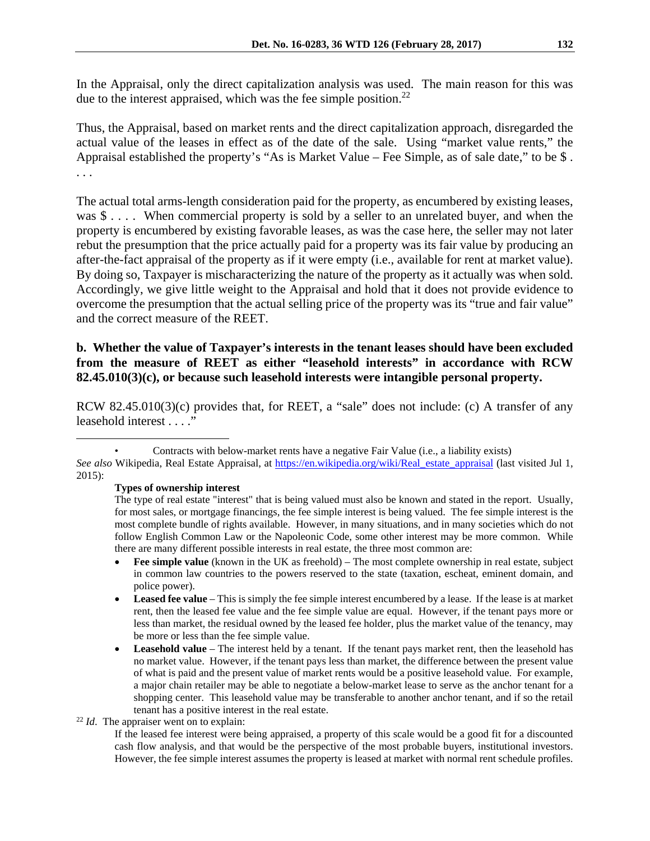In the Appraisal, only the direct capitalization analysis was used. The main reason for this was due to the interest appraised, which was the fee simple position.<sup>22</sup>

Thus, the Appraisal, based on market rents and the direct capitalization approach, disregarded the actual value of the leases in effect as of the date of the sale. Using "market value rents," the Appraisal established the property's "As is Market Value – Fee Simple, as of sale date," to be \$ . . . .

The actual total arms-length consideration paid for the property, as encumbered by existing leases, was \$.... When commercial property is sold by a seller to an unrelated buyer, and when the property is encumbered by existing favorable leases, as was the case here, the seller may not later rebut the presumption that the price actually paid for a property was its fair value by producing an after-the-fact appraisal of the property as if it were empty (i.e., available for rent at market value). By doing so, Taxpayer is mischaracterizing the nature of the property as it actually was when sold. Accordingly, we give little weight to the Appraisal and hold that it does not provide evidence to overcome the presumption that the actual selling price of the property was its "true and fair value" and the correct measure of the REET.

#### **b. Whether the value of Taxpayer's interests in the tenant leases should have been excluded from the measure of REET as either "leasehold interests" in accordance with RCW 82.45.010(3)(c), or because such leasehold interests were intangible personal property.**

RCW 82.45.010(3)(c) provides that, for REET, a "sale" does not include: (c) A transfer of any leasehold interest . . . ."

**Types of ownership interest** 

- Fee simple value (known in the UK as freehold) The most complete ownership in real estate, subject in common law countries to the powers reserved to the state (taxation, escheat, eminent domain, and police power).
- **Leased fee value** This is simply the fee simple interest encumbered by a lease. If the lease is at market rent, then the leased fee value and the fee simple value are equal. However, if the tenant pays more or less than market, the residual owned by the leased fee holder, plus the market value of the tenancy, may be more or less than the fee simple value.
- Leasehold value The interest held by a tenant. If the tenant pays market rent, then the leasehold has no market value. However, if the tenant pays less than market, the difference between the present value of what is paid and the present value of market rents would be a positive leasehold value. For example, a major chain retailer may be able to negotiate a below-market lease to serve as the anchor tenant for a shopping center. This leasehold value may be transferable to another anchor tenant, and if so the retail tenant has a positive interest in the real estate.<br><sup>22</sup> *Id*. The appraiser went on to explain:

If the leased fee interest were being appraised, a property of this scale would be a good fit for a discounted cash flow analysis, and that would be the perspective of the most probable buyers, institutional investors. However, the fee simple interest assumes the property is leased at market with normal rent schedule profiles.

 <sup>•</sup> Contracts with below-market rents have a negative Fair Value (i.e., a liability exists)

*See also* Wikipedia, Real Estate Appraisal, at https://en.wikipedia.org/wiki/Real\_estate\_appraisal (last visited Jul 1, 2015):

The type of real estate "interest" that is being valued must also be known and stated in the report. Usually, for most sales, or mortgage financings, the fee simple interest is being valued. The fee simple interest is the most complete bundle of rights available. However, in many situations, and in many societies which do not follow English Common Law or the Napoleonic Code, some other interest may be more common. While there are many different possible interests in real estate, the three most common are: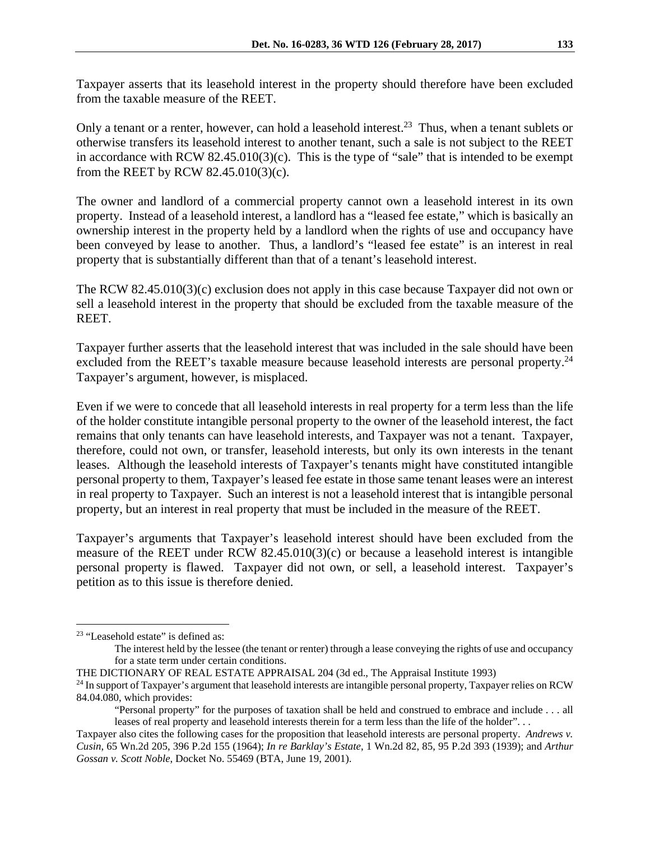Only a tenant or a renter, however, can hold a leasehold interest.<sup>23</sup> Thus, when a tenant sublets or otherwise transfers its leasehold interest to another tenant, such a sale is not subject to the REET in accordance with RCW 82.45.010(3)(c). This is the type of "sale" that is intended to be exempt from the REET by RCW 82.45.010(3)(c).

The owner and landlord of a commercial property cannot own a leasehold interest in its own property. Instead of a leasehold interest, a landlord has a "leased fee estate," which is basically an ownership interest in the property held by a landlord when the rights of use and occupancy have been conveyed by lease to another. Thus, a landlord's "leased fee estate" is an interest in real property that is substantially different than that of a tenant's leasehold interest.

The RCW 82.45.010(3)(c) exclusion does not apply in this case because Taxpayer did not own or sell a leasehold interest in the property that should be excluded from the taxable measure of the REET.

Taxpayer further asserts that the leasehold interest that was included in the sale should have been excluded from the REET's taxable measure because leasehold interests are personal property.<sup>24</sup> Taxpayer's argument, however, is misplaced.

Even if we were to concede that all leasehold interests in real property for a term less than the life of the holder constitute intangible personal property to the owner of the leasehold interest, the fact remains that only tenants can have leasehold interests, and Taxpayer was not a tenant. Taxpayer, therefore, could not own, or transfer, leasehold interests, but only its own interests in the tenant leases. Although the leasehold interests of Taxpayer's tenants might have constituted intangible personal property to them, Taxpayer's leased fee estate in those same tenant leases were an interest in real property to Taxpayer. Such an interest is not a leasehold interest that is intangible personal property, but an interest in real property that must be included in the measure of the REET.

Taxpayer's arguments that Taxpayer's leasehold interest should have been excluded from the measure of the REET under RCW 82.45.010(3)(c) or because a leasehold interest is intangible personal property is flawed. Taxpayer did not own, or sell, a leasehold interest. Taxpayer's petition as to this issue is therefore denied.

1

<sup>&</sup>lt;sup>23</sup> "Leasehold estate" is defined as:

The interest held by the lessee (the tenant or renter) through a lease conveying the rights of use and occupancy for a state term under certain conditions.

THE DICTIONARY OF REAL ESTATE APPRAISAL 204 (3d ed., The Appraisal Institute 1993)<br><sup>24</sup> In support of Taxpayer's argument that leasehold interests are intangible personal property, Taxpayer relies on RCW 84.04.080, which provides:

<sup>&</sup>quot;Personal property" for the purposes of taxation shall be held and construed to embrace and include . . . all leases of real property and leasehold interests therein for a term less than the life of the holder". . .

Taxpayer also cites the following cases for the proposition that leasehold interests are personal property. *Andrews v. Cusin*, 65 Wn.2d 205, 396 P.2d 155 (1964); *In re Barklay's Estate*, 1 Wn.2d 82, 85, 95 P.2d 393 (1939); and *Arthur Gossan v. Scott Noble*, Docket No. 55469 (BTA, June 19, 2001).